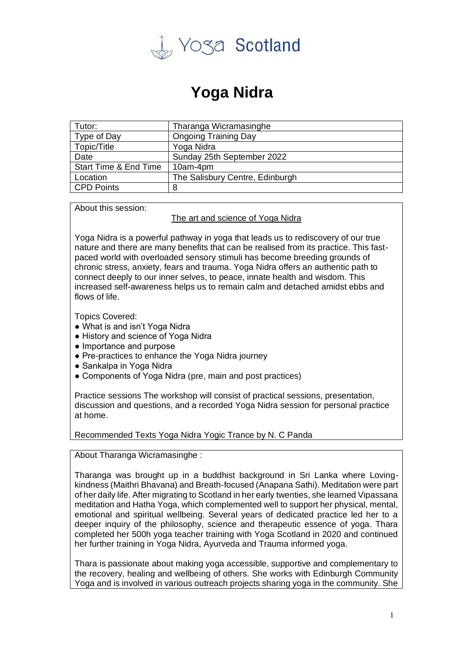

## **Yoga Nidra**

| Tutor:                | Tharanga Wicramasinghe          |
|-----------------------|---------------------------------|
| Type of Day           | <b>Ongoing Training Day</b>     |
| Topic/Title           | Yoga Nidra                      |
| Date                  | Sunday 25th September 2022      |
| Start Time & End Time | 10am-4pm                        |
| Location              | The Salisbury Centre, Edinburgh |
| CPD Points            | 8                               |

About this session:

The art and science of Yoga Nidra

Yoga Nidra is a powerful pathway in yoga that leads us to rediscovery of our true nature and there are many benefits that can be realised from its practice. This fastpaced world with overloaded sensory stimuli has become breeding grounds of chronic stress, anxiety, fears and trauma. Yoga Nidra offers an authentic path to connect deeply to our inner selves, to peace, innate health and wisdom. This increased self-awareness helps us to remain calm and detached amidst ebbs and flows of life.

Topics Covered:

- What is and isn't Yoga Nidra
- History and science of Yoga Nidra
- Importance and purpose
- Pre-practices to enhance the Yoga Nidra journey
- Sankalpa in Yoga Nidra
- Components of Yoga Nidra (pre, main and post practices)

Practice sessions The workshop will consist of practical sessions, presentation, discussion and questions, and a recorded Yoga Nidra session for personal practice at home.

Recommended Texts Yoga Nidra Yogic Trance by N. C Panda

About Tharanga Wicramasinghe :

Tharanga was brought up in a buddhist background in Sri Lanka where Lovingkindness (Maithri Bhavana) and Breath-focused (Anapana Sathi). Meditation were part of her daily life. After migrating to Scotland in her early twenties, she learned Vipassana meditation and Hatha Yoga, which complemented well to support her physical, mental, emotional and spiritual wellbeing. Several years of dedicated practice led her to a deeper inquiry of the philosophy, science and therapeutic essence of yoga. Thara completed her 500h yoga teacher training with Yoga Scotland in 2020 and continued her further training in Yoga Nidra, Ayurveda and Trauma informed yoga.

Thara is passionate about making yoga accessible, supportive and complementary to the recovery, healing and wellbeing of others. She works with Edinburgh Community Yoga and is involved in various outreach projects sharing yoga in the community. She